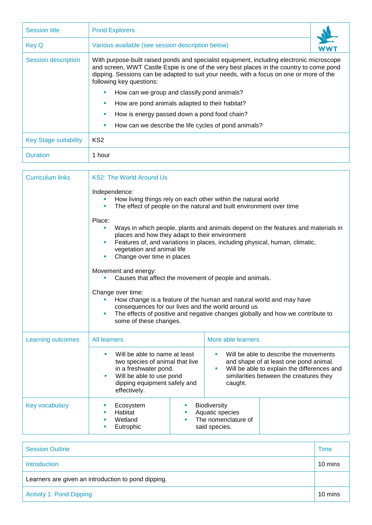| <b>Session title</b>         | <b>Pond Explorers</b>                                                                                                                                                                                                                                                                                       |  |  |
|------------------------------|-------------------------------------------------------------------------------------------------------------------------------------------------------------------------------------------------------------------------------------------------------------------------------------------------------------|--|--|
| <b>Key Q</b>                 | Various available (see session description below)                                                                                                                                                                                                                                                           |  |  |
| Session description          | With purpose-built raised ponds and specialist equipment, including electronic microscope<br>and screen, WWT Castle Espie is one of the very best places in the country to come pond<br>dipping. Sessions can be adapted to suit your needs, with a focus on one or more of the<br>following key questions: |  |  |
|                              | How can we group and classify pond animals?<br>٠                                                                                                                                                                                                                                                            |  |  |
|                              | How are pond animals adapted to their habitat?                                                                                                                                                                                                                                                              |  |  |
|                              | How is energy passed down a pond food chain?                                                                                                                                                                                                                                                                |  |  |
|                              | How can we describe the life cycles of pond animals?<br>٠                                                                                                                                                                                                                                                   |  |  |
| <b>Key Stage suitability</b> | KS <sub>2</sub>                                                                                                                                                                                                                                                                                             |  |  |
| <b>Duration</b>              | 1 hour                                                                                                                                                                                                                                                                                                      |  |  |

| <b>Curriculum links</b> | <b>KS2: The World Around Us</b>                                                                                                                                                                                                                                 |                                                                                                                                                                                                  |  |  |
|-------------------------|-----------------------------------------------------------------------------------------------------------------------------------------------------------------------------------------------------------------------------------------------------------------|--------------------------------------------------------------------------------------------------------------------------------------------------------------------------------------------------|--|--|
|                         | Independence:<br>How living things rely on each other within the natural world                                                                                                                                                                                  | The effect of people on the natural and built environment over time                                                                                                                              |  |  |
|                         | Place:<br>$\blacksquare$<br>places and how they adapt to their environment<br>vegetation and animal life<br>Change over time in places                                                                                                                          | Ways in which people, plants and animals depend on the features and materials in<br>Features of, and variations in places, including physical, human, climatic,                                  |  |  |
|                         | Movement and energy:<br>Causes that affect the movement of people and animals.                                                                                                                                                                                  |                                                                                                                                                                                                  |  |  |
|                         | Change over time:<br>How change is a feature of the human and natural world and may have<br>consequences for our lives and the world around us<br>The effects of positive and negative changes globally and how we contribute to<br>ш<br>some of these changes. |                                                                                                                                                                                                  |  |  |
| Learning outcomes       | <b>All learners</b>                                                                                                                                                                                                                                             | More able learners                                                                                                                                                                               |  |  |
|                         | Will be able to name at least<br>two species of animal that live<br>in a freshwater pond.<br>Will be able to use pond<br>dipping equipment safely and<br>effectively.                                                                                           | Will be able to describe the movements<br>a.<br>and shape of at least one pond animal.<br>Will be able to explain the differences and<br>ш<br>similarities between the creatures they<br>caught. |  |  |
| <b>Key vocabulary</b>   | Ecosystem<br>ш<br>Habitat<br><b>III</b><br>Wetland<br>٠<br>٠<br>Eutrophic                                                                                                                                                                                       | Biodiversity<br>Aquatic species<br>The nomenclature of<br>said species.                                                                                                                          |  |  |

| <b>Session Outline</b>                              | Time    |  |
|-----------------------------------------------------|---------|--|
| Introduction                                        | 10 mins |  |
| Learners are given an introduction to pond dipping. |         |  |
| Activity 1: Pond Dipping                            |         |  |